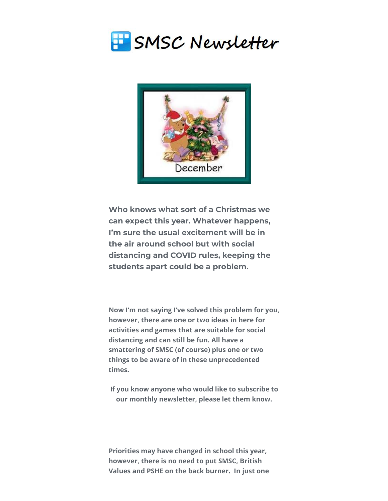



**Who knows what sort of a Christmas we can expect this year. Whatever happens, I'm sure the usual excitement will be in the air around school but with social distancing and COVID rules, keeping the students apart could be a problem.**

**Now I'm not saying I've solved this problem for you, however, there are one or two ideas in here for activities and games that are suitable for social distancing and can still be fun. All have a smattering of SMSC (of course) plus one or two things to be aware of in these unprecedented times.**

**If you know anyone who would like to subscribe to our monthly newsletter, please let them know.**

**Priorities may have changed in school this year, however, there is no need to put SMSC, British Values and PSHE on the back burner. In just one**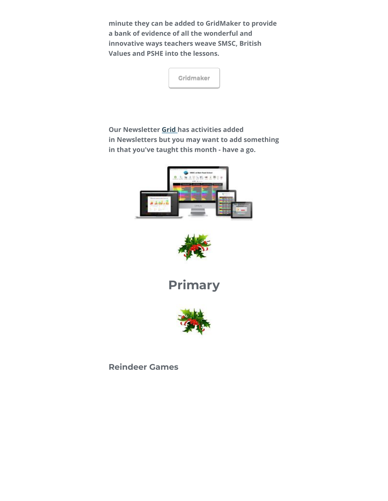**minute they can be added to GridMaker to provide a bank of evidence of all the wonderful and innovative ways teachers weave SMSC, British Values and PSHE into the lessons.** 



**Our Newsletter [Grid](https://smscgridmaker.createsend1.com/t/j-l-aiihhlt-l-y/) has activities added in Newsletters but you may want to add something in that you've taught this month - have a go.**





# **Primary**



**Reindeer Games**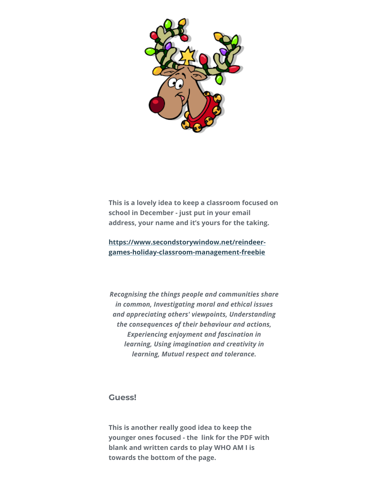

**This is a lovely idea to keep a classroom focused on school in December - just put in your email address, your name and it's yours for the taking.**

**[https://www.secondstorywindow.net/reindeer](https://smscgridmaker.createsend1.com/t/j-l-aiihhlt-l-t/)games-holiday-classroom-management-freebie**

*Recognising the things people and communities share in common, Investigating moral and ethical issues and appreciating others' viewpoints, Understanding the consequences of their behaviour and actions, Experiencing enjoyment and fascination in learning, Using imagination and creativity in learning, Mutual respect and tolerance.*

#### **Guess!**

**This is another really good idea to keep the younger ones focused - the link for the PDF with blank and written cards to play WHO AM I is towards the bottom of the page.**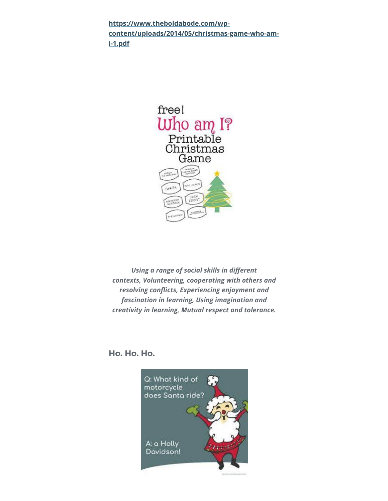**https://www.theboldabode.com/wp[content/uploads/2014/05/christmas-game-who-am](https://smscgridmaker.createsend1.com/t/j-l-aiihhlt-l-i/)i-1.pdf**



Using a range of social skills in different *contexts, Volunteering, cooperating with others and* resolving conflicts, Experiencing enjoyment and *fascination in learning, Using imagination and creativity in learning, Mutual respect and tolerance.*

#### **Ho. Ho. Ho.**

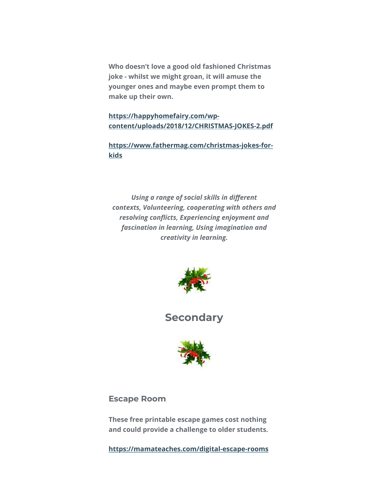**Who doesn't love a good old fashioned Christmas joke - whilst we might groan, it will amuse the younger ones and maybe even prompt them to make up their own.**

**https://happyhomefairy.com/wp[content/uploads/2018/12/CHRISTMAS-JOKES-2.pdf](https://smscgridmaker.createsend1.com/t/j-l-aiihhlt-l-d/)**

**[https://www.fathermag.com/christmas-jokes-for](https://smscgridmaker.createsend1.com/t/j-l-aiihhlt-l-h/)kids**

**Using a range of social skills in different** *contexts, Volunteering, cooperating with others and* resolving conflicts, Experiencing enjoyment and *fascination in learning, Using imagination and creativity in learning.*



# **Secondary**



#### **Escape Room**

**These free printable escape games cost nothing and could provide a challenge to older students.**

**[https://mamateaches.com/digital-escape-rooms](https://smscgridmaker.createsend1.com/t/j-l-aiihhlt-l-k/)**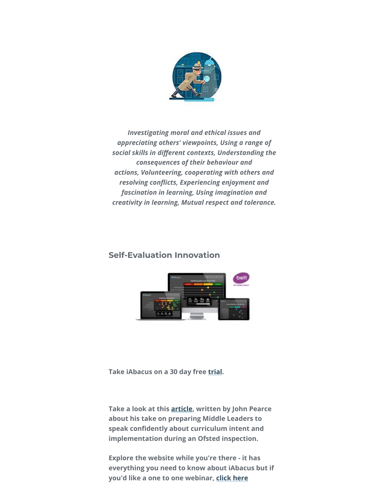

*Investigating moral and ethical issues and appreciating others' viewpoints, Using a range of* social skills in different contexts, Understanding the *consequences of their behaviour and actions, Volunteering, cooperating with others and* resolving conflicts, Experiencing enjoyment and *fascination in learning, Using imagination and creativity in learning, Mutual respect and tolerance.*

## **Self-Evaluation Innovation**



**Take iAbacus on a 30 day free [trial.](https://smscgridmaker.createsend1.com/t/j-l-aiihhlt-l-u/)** 

**Take a look at this [article,](https://smscgridmaker.createsend1.com/t/j-l-aiihhlt-l-o/) written by John Pearce about his take on preparing Middle Leaders to** speak confidently about curriculum intent and **implementation during an Ofsted inspection.**

**Explore the website while you're there - it has everything you need to know about iAbacus but if you'd like a one to one webinar, [click here](https://smscgridmaker.createsend1.com/t/j-l-aiihhlt-l-b/)**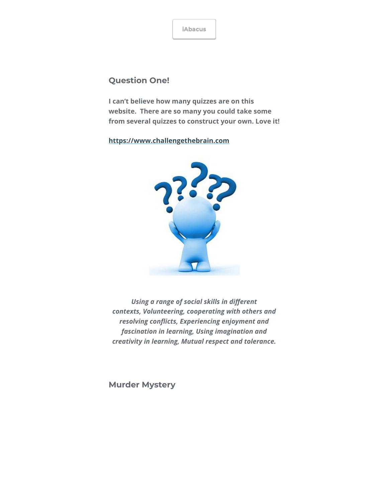**iAbacus** 

### **Question One!**

**I can't believe how many quizzes are on this website. There are so many you could take some from several quizzes to construct your own. Love it!**

#### **[https://www.challengethebrain.com](https://smscgridmaker.createsend1.com/t/j-l-aiihhlt-l-p/)**



Using a range of social skills in different *contexts, Volunteering, cooperating with others and* resolving conflicts, Experiencing enjoyment and *fascination in learning, Using imagination and creativity in learning, Mutual respect and tolerance.*

**Murder Mystery**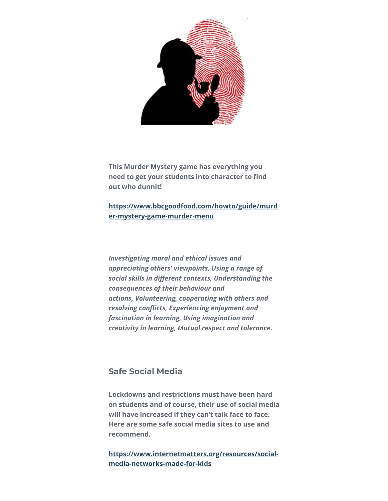

**This Murder Mystery game has everything you need to get your students into character to find out who dunnit!**

**[https://www.bbcgoodfood.com/howto/guide/murd](https://smscgridmaker.createsend1.com/t/j-l-aiihhlt-l-x/) er-mystery-game-murder-menu**

*Investigating moral and ethical issues and appreciating others' viewpoints, Using a range of* social skills in different contexts, Understanding the *consequences of their behaviour and actions, Volunteering, cooperating with others and* resolving conflicts, Experiencing enjoyment and *fascination in learning, Using imagination and creativity in learning, Mutual respect and tolerance.*

## **Safe Social Media**

**Lockdowns and restrictions must have been hard on students and of course, their use of social media will have increased if they can't talk face to face. Here are some safe social media sites to use and recommend.**

**[https://www.internetmatters.org/resources/social](https://smscgridmaker.createsend1.com/t/j-l-aiihhlt-l-m/)media-networks-made-for-kids**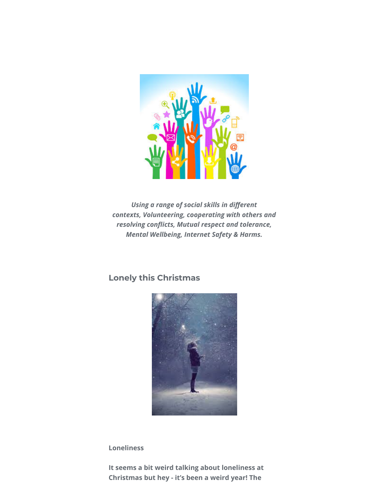

Using a range of social skills in different *contexts, Volunteering, cooperating with others and* resolving conflicts, Mutual respect and tolerance, *Mental Wellbeing, Internet Safety & Harms.*

## **Lonely this Christmas**



**Loneliness**

**It seems a bit weird talking about loneliness at Christmas but hey - it's been a weird year! The**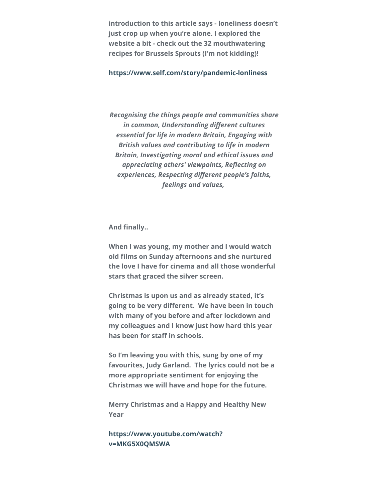**introduction to this article says - loneliness doesn't just crop up when you're alone. I explored the website a bit - check out the 32 mouthwatering recipes for Brussels Sprouts (I'm not kidding)!**

#### **[https://www.self.com/story/pandemic-lonliness](https://smscgridmaker.createsend1.com/t/j-l-aiihhlt-l-c/)**

*Recognising the things people and communities share in common, Understanding different cultures essential for life in modern Britain, Engaging with British values and contributing to life in modern Britain, Investigating moral and ethical issues and* **appreciating others' viewpoints, Reflecting on** experiences, Respecting different people's faiths, *feelings and values,* 

**And finally..** 

**When I was young, my mother and I would watch old lms on Sunday afternoons and she nurtured the love I have for cinema and all those wonderful stars that graced the silver screen.**

**Christmas is upon us and as already stated, it's** going to be very different. We have been in touch **with many of you before and after lockdown and my colleagues and I know just how hard this year** has been for staff in schools.

**So I'm leaving you with this, sung by one of my favourites, Judy Garland. The lyrics could not be a more appropriate sentiment for enjoying the Christmas we will have and hope for the future.**

**Merry Christmas and a Happy and Healthy New Year**

**[https://www.youtube.com/watch?](https://smscgridmaker.createsend1.com/t/j-l-aiihhlt-l-q/) v=MKG5X0QMSWA**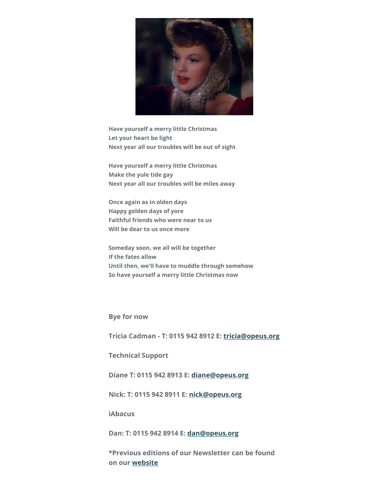

**Have yourself a merry little Christmas Let your heart be light Next year all our troubles will be out of sight**

**Have yourself a merry little Christmas Make the yule tide gay Next year all our troubles will be miles away**

**Once again as in olden days Happy golden days of yore Faithful friends who were near to us Will be dear to us once more**

**Someday soon, we all will be together If the fates allow Until then, we'll have to muddle through somehow So have yourself a merry little Christmas now**

**Bye for now**

**Tricia Cadman - T: 0115 942 8912 E: [tricia@opeus.org](mailto:tricia@opeus.org)**

**Technical Support**

**Diane T: 0115 942 8913 E: [diane@opeus.org](mailto:diane@opeus.org)**

**Nick: T: 0115 942 8911 E: [nick@opeus.org](mailto:nick@opeus.org)**

**iAbacus**

**Dan: T: 0115 942 8914 E: [dan@opeus.org](mailto:dan@opeus.org)**

**\*Previous editions of our Newsletter can be found on our [website](https://smscgridmaker.createsend1.com/t/j-l-aiihhlt-l-a/)**